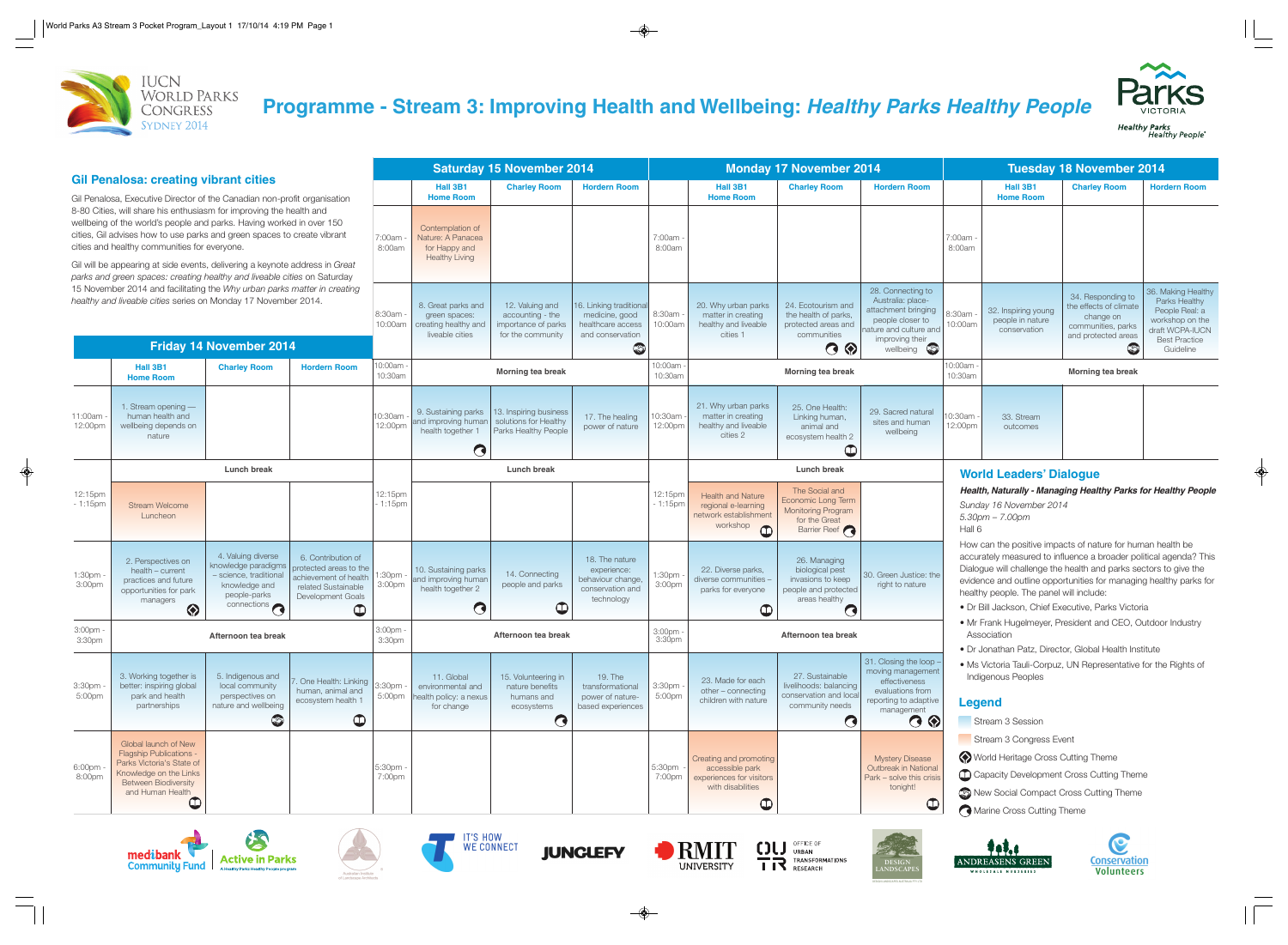

# **Programme - Stream 3: Improving Health and Wellbeing: Healthy Parks Healthy People**

|                                                                                                                                                                                                                                                                                                                                                                                                                                   |                                                                                                                                                                             |                                                                                                                                        |                                                                                                                                         | <b>Saturday 15 November 2014</b> |                                                                                 |                                                                                 |                                                                                         | <b>Monday 17 November 2014</b> |                                                                                                          |                                                                                                            |                                                                                                                                             | <b>Tuesday 18 November 2014</b>                                                                                                                                                                                                                                                                                                                                           |                                                         |                                                                                                                  |                                                                                                                                  |
|-----------------------------------------------------------------------------------------------------------------------------------------------------------------------------------------------------------------------------------------------------------------------------------------------------------------------------------------------------------------------------------------------------------------------------------|-----------------------------------------------------------------------------------------------------------------------------------------------------------------------------|----------------------------------------------------------------------------------------------------------------------------------------|-----------------------------------------------------------------------------------------------------------------------------------------|----------------------------------|---------------------------------------------------------------------------------|---------------------------------------------------------------------------------|-----------------------------------------------------------------------------------------|--------------------------------|----------------------------------------------------------------------------------------------------------|------------------------------------------------------------------------------------------------------------|---------------------------------------------------------------------------------------------------------------------------------------------|---------------------------------------------------------------------------------------------------------------------------------------------------------------------------------------------------------------------------------------------------------------------------------------------------------------------------------------------------------------------------|---------------------------------------------------------|------------------------------------------------------------------------------------------------------------------|----------------------------------------------------------------------------------------------------------------------------------|
| <b>Gil Penalosa: creating vibrant cities</b><br>Gil Penalosa, Executive Director of the Canadian non-profit organisation                                                                                                                                                                                                                                                                                                          |                                                                                                                                                                             |                                                                                                                                        |                                                                                                                                         |                                  | Hall 3B1<br><b>Home Room</b>                                                    | <b>Charley Room</b>                                                             | <b>Hordern Room</b>                                                                     |                                | Hall 3B1<br><b>Home Room</b>                                                                             | <b>Charley Room</b>                                                                                        | <b>Hordern Room</b>                                                                                                                         |                                                                                                                                                                                                                                                                                                                                                                           | Hall 3B1<br><b>Home Room</b>                            | <b>Charley Room</b>                                                                                              | <b>Hordern Room</b>                                                                                                              |
| 8-80 Cities, will share his enthusiasm for improving the health and<br>wellbeing of the world's people and parks. Having worked in over 150<br>cities, Gil advises how to use parks and green spaces to create vibrant<br>cities and healthy communities for everyone.<br>Gil will be appearing at side events, delivering a keynote address in Great<br>parks and green spaces: creating healthy and liveable cities on Saturday |                                                                                                                                                                             |                                                                                                                                        |                                                                                                                                         | 7:00am<br>8:00am                 | Contemplation of<br>Nature: A Panacea<br>for Happy and<br><b>Healthy Living</b> |                                                                                 |                                                                                         | 7:00am<br>8:00am               |                                                                                                          |                                                                                                            |                                                                                                                                             | 7:00am<br>8:00am                                                                                                                                                                                                                                                                                                                                                          |                                                         |                                                                                                                  |                                                                                                                                  |
| 15 November 2014 and facilitating the Why urban parks matter in creating<br>healthy and liveable cities series on Monday 17 November 2014.<br><b>Friday 14 November 2014</b>                                                                                                                                                                                                                                                      |                                                                                                                                                                             |                                                                                                                                        |                                                                                                                                         | 8:30am ·<br>10:00am              | 8. Great parks and<br>green spaces:<br>creating healthy and<br>liveable cities  | 12. Valuing and<br>accounting - the<br>importance of parks<br>for the community | 16. Linking traditional<br>medicine, good<br>healthcare access<br>and conservation<br>S | 8:30am<br>10:00am              | 20. Why urban parks<br>matter in creating<br>healthy and liveable<br>cities 1                            | 24. Ecotourism and<br>the health of parks,<br>protected areas and<br>communities<br>$\odot$ $\odot$        | 28. Connecting to<br>Australia: place-<br>attachment bringing<br>people closer to<br>iature and culture and<br>improving their<br>wellbeing | 3:30am<br>10:00am                                                                                                                                                                                                                                                                                                                                                         | 32. Inspiring young<br>people in nature<br>conservation | 34. Responding to<br>the effects of climate<br>change on<br>communities, parks<br>and protected areas<br>$\odot$ | 36. Making Healthy<br>Parks Healthy<br>People Real: a<br>workshop on the<br>draft WCPA-IUCN<br><b>Best Practice</b><br>Guideline |
|                                                                                                                                                                                                                                                                                                                                                                                                                                   | Hall 3B1<br><b>Charley Room</b><br><b>Hordern Room</b><br><b>Home Room</b>                                                                                                  |                                                                                                                                        |                                                                                                                                         | 10:00am<br>10:30am               | <b>Morning tea break</b>                                                        |                                                                                 |                                                                                         | 10:00am<br>10:30am             | <b>Morning tea break</b>                                                                                 |                                                                                                            |                                                                                                                                             | 10:00am<br><b>Morning tea break</b><br>10:30am                                                                                                                                                                                                                                                                                                                            |                                                         |                                                                                                                  |                                                                                                                                  |
| 11:00am<br>12:00pm                                                                                                                                                                                                                                                                                                                                                                                                                | 1. Stream opening $-$<br>human health and<br>wellbeing depends on<br>nature                                                                                                 |                                                                                                                                        |                                                                                                                                         | 10:30am<br>12:00pm               | 9. Sustaining parks<br>and improving human<br>health together 1<br>$\bullet$    | 13. Inspiring business<br>solutions for Healthy<br>Parks Healthy People         | 17. The healing<br>power of nature                                                      | 10:30am<br>12:00pm             | 21. Why urban parks<br>matter in creating<br>healthy and liveable<br>cities 2                            | 25. One Health:<br>Linking human,<br>animal and<br>ecosystem health 2<br>$\mathbf  \Phi$                   | 29. Sacred natural<br>sites and human<br>wellbeing                                                                                          | 0:30am<br>12:00pm                                                                                                                                                                                                                                                                                                                                                         | 33. Stream<br>outcomes                                  |                                                                                                                  |                                                                                                                                  |
|                                                                                                                                                                                                                                                                                                                                                                                                                                   | <b>Lunch break</b>                                                                                                                                                          |                                                                                                                                        |                                                                                                                                         |                                  | Lunch break                                                                     |                                                                                 |                                                                                         |                                | <b>Lunch break</b>                                                                                       |                                                                                                            |                                                                                                                                             | <b>World Leaders' Dialogue</b>                                                                                                                                                                                                                                                                                                                                            |                                                         |                                                                                                                  |                                                                                                                                  |
| 12:15pm<br>- 1:15pm                                                                                                                                                                                                                                                                                                                                                                                                               | <b>Stream Welcome</b><br>Luncheon                                                                                                                                           |                                                                                                                                        |                                                                                                                                         | 12:15pm<br>$-1:15$ pm            |                                                                                 |                                                                                 |                                                                                         | 12:15pm<br>$-1:15$ pm          | <b>Health and Nature</b><br>regional e-learning<br>network establishment<br>workshop<br>$\mathbf 0$      | The Social and<br>Economic Long Term<br><b>Monitoring Program</b><br>for the Great<br>Barrier Reef         |                                                                                                                                             | Health, Naturally - Managing Healthy Parks for Healthy People<br>Sunday 16 November 2014<br>$5.30$ pm $- 7.00$ pm<br>Hall 6                                                                                                                                                                                                                                               |                                                         |                                                                                                                  |                                                                                                                                  |
| 1:30pm<br>3:00pm                                                                                                                                                                                                                                                                                                                                                                                                                  | 2. Perspectives on<br>health - current<br>practices and future<br>opportunities for park<br>managers<br>♦                                                                   | 4. Valuing diverse<br>knowledge paradigms<br>- science, traditional<br>knowledge and<br>people-parks<br>$\frac{1}{\text{connections}}$ | 6. Contribution of<br>protected areas to the<br>achievement of health<br>related Sustainable<br><b>Development Goals</b><br>$\mathbb Q$ | :30pm<br>3:00pm                  | 10. Sustaining parks<br>and improving humar<br>health together 2<br>$\mathbf G$ | 14. Connecting<br>people and parks<br>$\mathbf{\Theta}$                         | 18. The nature<br>experience:<br>behaviour change<br>conservation and<br>technology     | 1:30pm<br>3:00pm               | 22. Diverse parks,<br>diverse communities -<br>parks for everyone<br>$\mathbb Q$                         | 26. Managing<br>biological pest<br>invasions to keep<br>people and protected<br>areas healthy<br>$\bullet$ | 30. Green Justice: the<br>right to nature                                                                                                   | How can the positive impacts of nature for human health be<br>accurately measured to influence a broader political agenda? This<br>Dialogue will challenge the health and parks sectors to give the<br>evidence and outline opportunities for managing healthy parks for<br>healthy people. The panel will include:<br>· Dr Bill Jackson, Chief Executive, Parks Victoria |                                                         |                                                                                                                  |                                                                                                                                  |
| 3:00pm -<br>3:30pm                                                                                                                                                                                                                                                                                                                                                                                                                | Afternoon tea break                                                                                                                                                         |                                                                                                                                        |                                                                                                                                         | 3:00pm<br>3:30pm                 | Afternoon tea break                                                             |                                                                                 |                                                                                         | 3:00pm -<br>3:30pm             | Afternoon tea break                                                                                      |                                                                                                            |                                                                                                                                             | • Mr Frank Hugelmeyer, President and CEO, Outdoor Industry<br>Association                                                                                                                                                                                                                                                                                                 |                                                         |                                                                                                                  |                                                                                                                                  |
| 3:30 <sub>pm</sub><br>5:00pm                                                                                                                                                                                                                                                                                                                                                                                                      | 3. Working together is<br>better: inspiring global<br>park and health<br>partnerships                                                                                       | 5. Indigenous and<br>local community<br>perspectives on<br>nature and wellbeing<br>$\circledcirc$                                      | 7. One Health: Linking<br>human, animal and<br>ecosystem health 1<br>$\bigcirc$                                                         | 3:30pm<br>5:00pm                 | 11. Global<br>environmental and<br>health policy: a nexus<br>for change         | 15. Volunteering in<br>nature benefits<br>humans and<br>ecosystems<br>$\bullet$ | 19. The<br>transformational<br>power of nature-<br>based experiences                    | 3:30pm<br>5:00pm               | 23. Made for each<br>$other$ – connecting<br>children with nature                                        | 27. Sustainable<br>livelihoods: balancing<br>conservation and local<br>community needs<br>$\bullet$        | 31. Closing the loop -<br>moving management<br>effectiveness<br>evaluations from<br>reporting to adaptive<br>management<br>$\odot$ $\odot$  | • Dr Jonathan Patz, Director, Global Health Institute<br>. Ms Victoria Tauli-Corpuz, UN Representative for the Rights of<br>Indigenous Peoples<br>Legend<br>Stream 3 Session                                                                                                                                                                                              |                                                         |                                                                                                                  |                                                                                                                                  |
| 6:00pm -<br>8:00pm                                                                                                                                                                                                                                                                                                                                                                                                                | Global launch of New<br><b>Flagship Publications</b><br>Parks Victoria's State of<br>Knowledge on the Links<br><b>Between Biodiversity</b><br>and Human Health<br>$\bullet$ |                                                                                                                                        |                                                                                                                                         | 5:30pm<br>7:00pm                 |                                                                                 |                                                                                 |                                                                                         | 5:30pm<br>7:00pm               | Creating and promoting<br>accessible park<br>experiences for visitors<br>with disabilities<br>$\bigcirc$ |                                                                                                            | <b>Mystery Disease</b><br>Outbreak in National<br>Park - solve this crisis<br>tonight!<br>$\bigcirc$                                        | Stream 3 Congress Event<br>World Heritage Cross Cutting Theme<br>Capacity Development Cross Cutting Theme<br>New Social Compact Cross Cutting Theme<br>Marine Cross Cutting Theme                                                                                                                                                                                         |                                                         |                                                                                                                  |                                                                                                                                  |















DESIGN LANDSCAPES AUSTRALIA PTY LTD





**Healthy Parks**<br>"Healthy People

- 
- 
- 
-